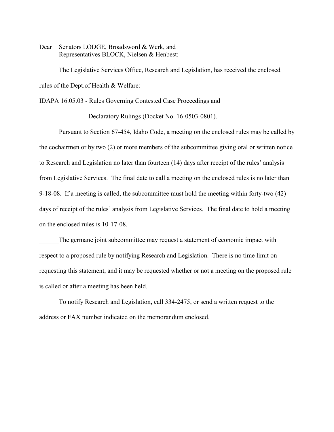Dear Senators LODGE, Broadsword & Werk, and Representatives BLOCK, Nielsen & Henbest:

The Legislative Services Office, Research and Legislation, has received the enclosed rules of the Dept.of Health & Welfare:

IDAPA 16.05.03 - Rules Governing Contested Case Proceedings and

Declaratory Rulings (Docket No. 16-0503-0801).

Pursuant to Section 67-454, Idaho Code, a meeting on the enclosed rules may be called by the cochairmen or by two (2) or more members of the subcommittee giving oral or written notice to Research and Legislation no later than fourteen (14) days after receipt of the rules' analysis from Legislative Services. The final date to call a meeting on the enclosed rules is no later than 9-18-08. If a meeting is called, the subcommittee must hold the meeting within forty-two (42) days of receipt of the rules' analysis from Legislative Services. The final date to hold a meeting on the enclosed rules is 10-17-08.

The germane joint subcommittee may request a statement of economic impact with respect to a proposed rule by notifying Research and Legislation. There is no time limit on requesting this statement, and it may be requested whether or not a meeting on the proposed rule is called or after a meeting has been held.

To notify Research and Legislation, call 334-2475, or send a written request to the address or FAX number indicated on the memorandum enclosed.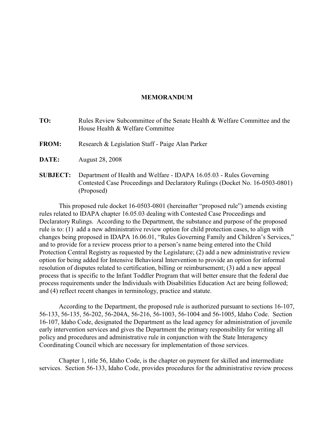# **MEMORANDUM**

- **TO:** Rules Review Subcommittee of the Senate Health & Welfare Committee and the House Health & Welfare Committee
- **FROM:** Research & Legislation Staff Paige Alan Parker
- **DATE:** August 28, 2008
- **SUBJECT:** Department of Health and Welfare IDAPA 16.05.03 Rules Governing Contested Case Proceedings and Declaratory Rulings (Docket No. 16-0503-0801) (Proposed)

This proposed rule docket 16-0503-0801 (hereinafter "proposed rule") amends existing rules related to IDAPA chapter 16.05.03 dealing with Contested Case Proceedings and Declaratory Rulings. According to the Department, the substance and purpose of the proposed rule is to: (1) add a new administrative review option for child protection cases, to align with changes being proposed in IDAPA 16.06.01, "Rules Governing Family and Children's Services," and to provide for a review process prior to a person's name being entered into the Child Protection Central Registry as requested by the Legislature; (2) add a new administrative review option for being added for Intensive Behavioral Intervention to provide an option for informal resolution of disputes related to certification, billing or reimbursement; (3) add a new appeal process that is specific to the Infant Toddler Program that will better ensure that the federal due process requirements under the Individuals with Disabilities Education Act are being followed; and (4) reflect recent changes in terminology, practice and statute.

According to the Department, the proposed rule is authorized pursuant to sections 16-107, 56-133, 56-135, 56-202, 56-204A, 56-216, 56-1003, 56-1004 and 56-1005, Idaho Code. Section 16-107, Idaho Code, designated the Department as the lead agency for administration of juvenile early intervention services and gives the Department the primary responsibility for writing all policy and procedures and administrative rule in conjunction with the State Interagency Coordinating Council which are necessary for implementation of those services.

Chapter 1, title 56, Idaho Code, is the chapter on payment for skilled and intermediate services. Section 56-133, Idaho Code, provides procedures for the administrative review process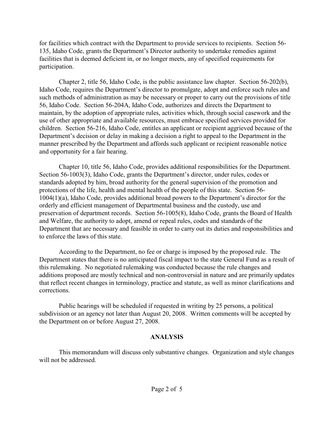for facilities which contract with the Department to provide services to recipients. Section 56- 135, Idaho Code, grants the Department's Director authority to undertake remedies against facilities that is deemed deficient in, or no longer meets, any of specified requirements for participation.

Chapter 2, title 56, Idaho Code, is the public assistance law chapter. Section 56-202(b), Idaho Code, requires the Department's director to promulgate, adopt and enforce such rules and such methods of administration as may be necessary or proper to carry out the provisions of title 56, Idaho Code. Section 56-204A, Idaho Code, authorizes and directs the Department to maintain, by the adoption of appropriate rules, activities which, through social casework and the use of other appropriate and available resources, must embrace specified services provided for children. Section 56-216, Idaho Code, entitles an applicant or recipient aggrieved because of the Department's decision or delay in making a decision a right to appeal to the Department in the manner prescribed by the Department and affords such applicant or recipient reasonable notice and opportunity for a fair hearing.

Chapter 10, title 56, Idaho Code, provides additional responsibilities for the Department. Section 56-1003(3), Idaho Code, grants the Department's director, under rules, codes or standards adopted by him, broad authority for the general supervision of the promotion and protections of the life, health and mental health of the people of this state. Section 56- 1004(1)(a), Idaho Code, provides additional broad powers to the Department's director for the orderly and efficient management of Departmental business and the custody, use and preservation of department records. Section 56-1005(8), Idaho Code, grants the Board of Health and Welfare, the authority to adopt, amend or repeal rules, codes and standards of the Department that are necessary and feasible in order to carry out its duties and responsibilities and to enforce the laws of this state.

According to the Department, no fee or charge is imposed by the proposed rule. The Department states that there is no anticipated fiscal impact to the state General Fund as a result of this rulemaking. No negotiated rulemaking was conducted because the rule changes and additions proposed are mostly technical and non-controversial in nature and are primarily updates that reflect recent changes in terminology, practice and statute, as well as minor clarifications and corrections.

Public hearings will be scheduled if requested in writing by 25 persons, a political subdivision or an agency not later than August 20, 2008. Written comments will be accepted by the Department on or before August 27, 2008.

# **ANALYSIS**

This memorandum will discuss only substantive changes. Organization and style changes will not be addressed.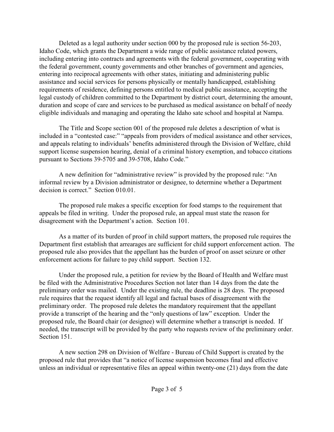Deleted as a legal authority under section 000 by the proposed rule is section 56-203, Idaho Code, which grants the Department a wide range of public assistance related powers, including entering into contracts and agreements with the federal government, cooperating with the federal government, county governments and other branches of government and agencies, entering into reciprocal agreements with other states, initiating and administering public assistance and social services for persons physically or mentally handicapped, establishing requirements of residence, defining persons entitled to medical public assistance, accepting the legal custody of children committed to the Department by district court, determining the amount, duration and scope of care and services to be purchased as medical assistance on behalf of needy eligible individuals and managing and operating the Idaho sate school and hospital at Nampa.

The Title and Scope section 001 of the proposed rule deletes a description of what is included in a "contested case:" "appeals from providers of medical assistance and other services, and appeals relating to individuals' benefits administered through the Division of Welfare, child support license suspension hearing, denial of a criminal history exemption, and tobacco citations pursuant to Sections 39-5705 and 39-5708, Idaho Code."

A new definition for "administrative review" is provided by the proposed rule: "An informal review by a Division administrator or designee, to determine whether a Department decision is correct." Section 010.01.

The proposed rule makes a specific exception for food stamps to the requirement that appeals be filed in writing. Under the proposed rule, an appeal must state the reason for disagreement with the Department's action. Section 101.

As a matter of its burden of proof in child support matters, the proposed rule requires the Department first establish that arrearages are sufficient for child support enforcement action. The proposed rule also provides that the appellant has the burden of proof on asset seizure or other enforcement actions for failure to pay child support. Section 132.

Under the proposed rule, a petition for review by the Board of Health and Welfare must be filed with the Administrative Procedures Section not later than 14 days from the date the preliminary order was mailed. Under the existing rule, the deadline is 28 days. The proposed rule requires that the request identify all legal and factual bases of disagreement with the preliminary order. The proposed rule deletes the mandatory requirement that the appellant provide a transcript of the hearing and the "only questions of law" exception. Under the proposed rule, the Board chair (or designee) will determine whether a transcript is needed. If needed, the transcript will be provided by the party who requests review of the preliminary order. Section 151.

A new section 298 on Division of Welfare - Bureau of Child Support is created by the proposed rule that provides that "a notice of license suspension becomes final and effective unless an individual or representative files an appeal within twenty-one (21) days from the date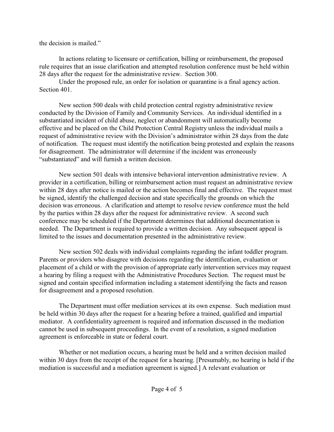the decision is mailed."

In actions relating to licensure or certification, billing or reimbursement, the proposed rule requires that an issue clarification and attempted resolution conference must be held within 28 days after the request for the administrative review. Section 300.

Under the proposed rule, an order for isolation or quarantine is a final agency action. Section 401.

New section 500 deals with child protection central registry administrative review conducted by the Division of Family and Community Services. An individual identified in a substantiated incident of child abuse, neglect or abandonment will automatically become effective and be placed on the Child Protection Central Registry unless the individual mails a request of administrative review with the Division's administrator within 28 days from the date of notification. The request must identify the notification being protested and explain the reasons for disagreement. The administrator will determine if the incident was erroneously "substantiated" and will furnish a written decision.

New section 501 deals with intensive behavioral intervention administrative review. A provider in a certification, billing or reimbursement action must request an administrative review within 28 days after notice is mailed or the action becomes final and effective. The request must be signed, identify the challenged decision and state specifically the grounds on which the decision was erroneous. A clarification and attempt to resolve review conference must the held by the parties within 28 days after the request for administrative review. A second such conference may be scheduled if the Department determines that additional documentation is needed. The Department is required to provide a written decision. Any subsequent appeal is limited to the issues and documentation presented in the administrative review.

New section 502 deals with individual complaints regarding the infant toddler program. Parents or providers who disagree with decisions regarding the identification, evaluation or placement of a child or with the provision of appropriate early intervention services may request a hearing by filing a request with the Administrative Procedures Section. The request must be signed and contain specified information including a statement identifying the facts and reason for disagreement and a proposed resolution.

The Department must offer mediation services at its own expense. Such mediation must be held within 30 days after the request for a hearing before a trained, qualified and impartial mediator. A confidentiality agreement is required and information discussed in the mediation cannot be used in subsequent proceedings. In the event of a resolution, a signed mediation agreement is enforceable in state or federal court.

Whether or not mediation occurs, a hearing must be held and a written decision mailed within 30 days from the receipt of the request for a hearing. [Presumably, no hearing is held if the mediation is successful and a mediation agreement is signed.] A relevant evaluation or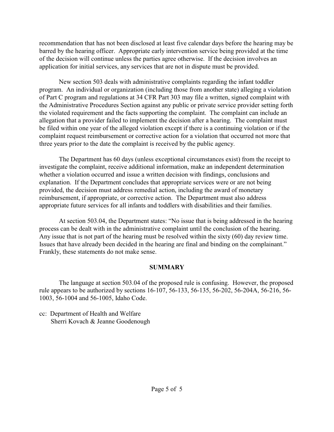recommendation that has not been disclosed at least five calendar days before the hearing may be barred by the hearing officer. Appropriate early intervention service being provided at the time of the decision will continue unless the parties agree otherwise. If the decision involves an application for initial services, any services that are not in dispute must be provided.

New section 503 deals with administrative complaints regarding the infant toddler program. An individual or organization (including those from another state) alleging a violation of Part C program and regulations at 34 CFR Part 303 may file a written, signed complaint with the Administrative Procedures Section against any public or private service provider setting forth the violated requirement and the facts supporting the complaint. The complaint can include an allegation that a provider failed to implement the decision after a hearing. The complaint must be filed within one year of the alleged violation except if there is a continuing violation or if the complaint request reimbursement or corrective action for a violation that occurred not more that three years prior to the date the complaint is received by the public agency.

The Department has 60 days (unless exceptional circumstances exist) from the receipt to investigate the complaint, receive additional information, make an independent determination whether a violation occurred and issue a written decision with findings, conclusions and explanation. If the Department concludes that appropriate services were or are not being provided, the decision must address remedial action, including the award of monetary reimbursement, if appropriate, or corrective action. The Department must also address appropriate future services for all infants and toddlers with disabilities and their families.

At section 503.04, the Department states: "No issue that is being addressed in the hearing process can be dealt with in the administrative complaint until the conclusion of the hearing. Any issue that is not part of the hearing must be resolved within the sixty (60) day review time. Issues that have already been decided in the hearing are final and binding on the complainant." Frankly, these statements do not make sense.

# **SUMMARY**

The language at section 503.04 of the proposed rule is confusing. However, the proposed rule appears to be authorized by sections 16-107, 56-133, 56-135, 56-202, 56-204A, 56-216, 56- 1003, 56-1004 and 56-1005, Idaho Code.

cc: Department of Health and Welfare Sherri Kovach & Jeanne Goodenough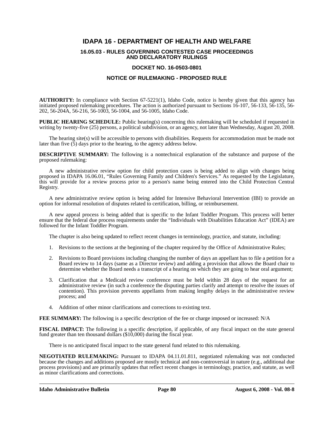# **IDAPA 16 - DEPARTMENT OF HEALTH AND WELFARE**

#### **16.05.03 - RULES GOVERNING CONTESTED CASE PROCEEDINGS AND DECLARATORY RULINGS**

## **DOCKET NO. 16-0503-0801**

# **NOTICE OF RULEMAKING - PROPOSED RULE**

**AUTHORITY:** In compliance with Section 67-5221(1), Idaho Code, notice is hereby given that this agency has initiated proposed rulemaking procedures. The action is authorized pursuant to Sections 16-107, 56-133, 56-135, 56- 202, 56-204A, 56-216, 56-1003, 56-1004, and 56-1005, Idaho Code.

**PUBLIC HEARING SCHEDULE:** Public hearing(s) concerning this rulemaking will be scheduled if requested in writing by twenty-five (25) persons, a political subdivision, or an agency, not later than Wednesday, August 20, 2008.

The hearing site(s) will be accessible to persons with disabilities. Requests for accommodation must be made not later than five (5) days prior to the hearing, to the agency address below.

**DESCRIPTIVE SUMMARY:** The following is a nontechnical explanation of the substance and purpose of the proposed rulemaking:

A new administrative review option for child protection cases is being added to align with changes being proposed in IDAPA 16.06.01, "Rules Governing Family and Children's Services." As requested by the Legislature, this will provide for a review process prior to a person's name being entered into the Child Protection Central Registry.

A new administrative review option is being added for Intensive Behavioral Intervention (IBI) to provide an option for informal resolution of disputes related to certification, billing, or reimbursement.

A new appeal process is being added that is specific to the Infant Toddler Program. This process will better ensure that the federal due process requirements under the "Individuals with Disabilities Education Act" (IDEA) are followed for the Infant Toddler Program.

The chapter is also being updated to reflect recent changes in terminology, practice, and statute, including:

- 1. Revisions to the sections at the beginning of the chapter required by the Office of Administrative Rules;
- 2. Revisions to Board provisions including changing the number of days an appellant has to file a petition for a Board review to 14 days (same as a Director review) and adding a provision that allows the Board chair to determine whether the Board needs a transcript of a hearing on which they are going to hear oral argument;
- 3. Clarification that a Medicaid review conference must be held within 28 days of the request for an administrative review (in such a conference the disputing parties clarify and attempt to resolve the issues of contention). This provision prevents appellants from making lengthy delays in the administrative review process; and
- 4. Addition of other minor clarifications and corrections to existing text.

**FEE SUMMARY:** The following is a specific description of the fee or charge imposed or increased: N/A

**FISCAL IMPACT:** The following is a specific description, if applicable, of any fiscal impact on the state general fund greater than ten thousand dollars (\$10,000) during the fiscal year.

There is no anticipated fiscal impact to the state general fund related to this rulemaking.

**NEGOTIATED RULEMAKING:** Pursuant to IDAPA 04.11.01.811, negotiated rulemaking was not conducted because the changes and additions proposed are mostly technical and non-controversial in nature (e.g., additional due process provisions) and are primarily updates that reflect recent changes in terminology, practice, and statute, as well as minor clarifications and corrections.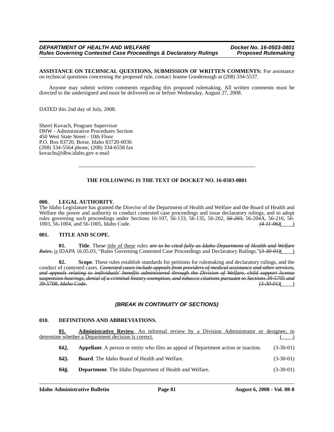**ASSISTANCE ON TECHNICAL QUESTIONS, SUBMISSION OF WRITTEN COMMENTS:** For assistance on technical questions concerning the proposed rule, contact Jeanne Goodenough at (208) 334-5537.

Anyone may submit written comments regarding this proposed rulemaking. All written comments must be directed to the undersigned and must be delivered on or before Wednesday, August 27, 2008.

DATED this 2nd day of July, 2008.

Sherri Kovach, Program Supervisor DHW - Administrative Procedures Section 450 West State Street - 10th Floor P.O. Box 83720, Boise, Idaho 83720-0036 (208) 334-5564 phone; (208) 334-6558 fax kovachs@dhw.idaho.gov e-mail

# **THE FOLLOWING IS THE TEXT OF DOCKET NO. 16-0503-0801**

#### **000. LEGAL AUTHORITY.**

The Idaho Legislature has granted the Director of the Department of Health and Welfare and the Board of Health and Welfare the power and authority to conduct contested case proceedings and issue declaratory rulings, and to adopt rules governing such proceedings under Sections 16-107, 56-133, 56-135, 56-202, *56-203,* 56-204A, 56-216, 56- 1003, 56-1004, and 56-1005, Idaho Code. *(4-11-06)*( )

#### **001. TITLE AND SCOPE.**

**01. Title**. The*se* title of these rules *are to be cited fully as Idaho Department of Health and Welfare Rules,* is IDAPA 16.05.03, "Rules Governing Contested Case Proceedings and Declaratory Rulings."(3-30-01)( )

**02. Scope**. These rules establish standards for petitions for rulemaking and declaratory rulings, and the conduct of contested cases. *Contested cases include appeals from providers of medical assistance and other services, and appeals relating to individuals' benefits administered through the Division of Welfare, child support license suspension hearings, denial of a criminal history exemption, and tobacco citations pursuant to Sections 39-5705 and 39-5708, Idaho Code. (3-30-01)*( )

# *(BREAK IN CONTINUITY OF SECTIONS)*

#### **010. DEFINITIONS AND ABBREVIATIONS.**

|      | <b>Administrative Review.</b> An informal review by a Division Administrator or designee, to |             |
|------|----------------------------------------------------------------------------------------------|-------------|
|      | determine whether a Department decision is correct.                                          |             |
| 012. | <b>Appellant.</b> A person or entity who files an appeal of Department action or inaction.   | $(3-30-01)$ |
| 023. | <b>Board.</b> The Idaho Board of Health and Welfare.                                         | $(3-30-01)$ |
| 0.34 | <b>Department.</b> The Idaho Department of Health and Welfare.                               | $(3-30-01)$ |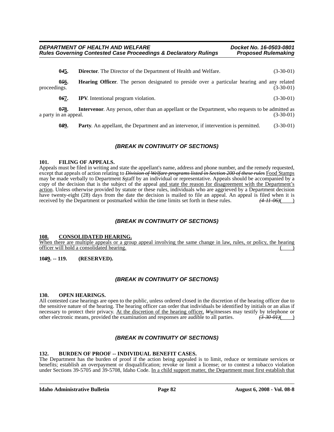|              | 045.                          | <b>Director.</b> The Director of the Department of Health and Welfare.                                   | $(3-30-01)$ |
|--------------|-------------------------------|----------------------------------------------------------------------------------------------------------|-------------|
| proceedings. | 056.                          | <b>Hearing Officer.</b> The person designated to preside over a particular hearing and any related       | $(3-30-01)$ |
|              | 067.                          | <b>IPV.</b> Intentional program violation.                                                               | $(3-30-01)$ |
|              | 078.<br>a party in an appeal. | <b>Intervenor.</b> Any person, other than an appellant or the Department, who requests to be admitted as | $(3-30-01)$ |

**089.** Party. An appellant, the Department and an intervenor, if intervention is permitted. (3-30-01)

# *(BREAK IN CONTINUITY OF SECTIONS)*

# **101. FILING OF APPEALS.**

Appeals must be filed in writing and state the appellant's name, address and phone number, and the remedy requested, except that appeals of action relating to *Division of Welfare programs listed in Section 200 of these rules* Food Stamps may be made verbally to Department *S*staff by an individual or representative. Appeals should be accompanied by a copy of the decision that is the subject of the appeal and state the reason for disagreement with the Department's action. Unless otherwise provided by statute or these rules, individuals who are aggrieved by a Department decision have twenty-eight (28) days from the date the decision is mailed to file an appeal. An appeal is filed when it is received by the Department or postmarked within the time limits set forth in these rules.  $(4.11.06)()$ received by the Department or postmarked within the time limits set forth in these rules.

# *(BREAK IN CONTINUITY OF SECTIONS)*

#### **108. CONSOLIDATED HEARING.**

When there are multiple appeals or a group appeal involving the same change in law, rules, or policy, the hearing officer will hold a consolidated hearing. ( )

**10***8***9. -- 119. (RESERVED).**

# *(BREAK IN CONTINUITY OF SECTIONS)*

#### **130. OPEN HEARINGS.**

All contested case hearings are open to the public, unless ordered closed in the discretion of the hearing officer due to the sensitive nature of the hearing. The hearing officer can order that individuals be identified by initials or an alias if necessary to protect their privacy. At the discretion of the hearing officer, *W*witnesses may testify by telephone or other electronic means, provided the examination and responses are audible to all parties.  $(3-30-01)()$ 

# *(BREAK IN CONTINUITY OF SECTIONS)*

# 132. BURDEN OF PROOF -- INDIVIDUAL BENEFIT CASES.

The Department has the burden of proof if the action being appealed is to limit, reduce or terminate services or benefits; establish an overpayment or disqualification; revoke or limit a license; or to contest a tobacco violation under Sections 39-5705 and 39-5708, Idaho Code. In a child support matter, the Department must first establish that

**Idaho Administrative Bulletin Page 82 August 6, 2008 - Vol. 08-8**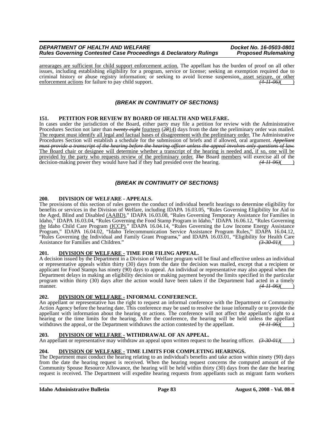arrearages are sufficient for child support enforcement action. The appellant has the burden of proof on all other issues, including establishing eligibility for a program, service or license; seeking an exemption required due to criminal history or abuse registry information; or seeking to avoid license suspension, asset seizure, or other<br>enforcement actions for failure to pay child support.<br> $\left(4-H-06H\right)$ enforcement actions for failure to pay child support.

# *(BREAK IN CONTINUITY OF SECTIONS)*

### **151. PETITION FOR REVIEW BY BOARD OF HEALTH AND WELFARE.**

In cases under the jurisdiction of the Board, either party may file a petition for review with the Administrative Procedures Section not later than *twenty-eight* fourteen (*28*14) days from the date the preliminary order was mailed. The request must identify all legal and factual bases of disagreement with the preliminary order. The Administrative Procedures Section will establish a schedule for the submission of briefs and if allowed, oral argument. *Appellant must provide a transcript of the hearing before the hearing officer unless the appeal involves only questions of law.* The Board chair or designee will determine whether a transcript of the hearing is needed and, if so, one will be provided by the party who requests review of the preliminary order. *The* Board members will exercise all of the decision-making power they would have had if they had presided over the hearing.  $(4\text{-}H\text{-}06)()$ 

# *(BREAK IN CONTINUITY OF SECTIONS)*

#### **200. DIVISION OF WELFARE - APPEALS.**

The provisions of this section of rules govern the conduct of individual benefit hearings to determine eligibility for benefits or services in the Division of Welfare, including IDAPA 16.03.05, "Rules Governing Eligibility for Aid to the Aged, Blind and Disabled (AABD)," IDAPA 16.03.08, "Rules Governing Temporary Assistance for Families in Idaho," IDAPA 16.03.04, "Rules Governing the Food Stamp Program in Idaho," IDAPA 16.06.12, "Rules Governing the Idaho Child Care Program (ICCP)," IDAPA 16.04.14, "Rules Governing the Low Income Energy Assistance Program," IDAPA 16.04.02, "Idaho Telecommunication Service Assistance Program Rules," IDAPA 16.04.12, "Rules Governing the Individual and Family Grant Program*s*," and IDAPA 16.03.01, "Eligibility for Health Care Assistance for Families and Children."

# **201. DIVISION OF WELFARE - TIME FOR FILING APPEAL.**

A decision issued by the Department in a Division of Welfare program will be final and effective unless an individual or representative appeals within thirty (30) days from the date the decision was mailed, except that a recipient or applicant for Food Stamps has ninety (90) days to appeal. An individual or representative may also appeal when the Department delays in making an eligibility decision or making payment beyond the limits specified in the particular program within thirty (30) days after the action would have been taken if the Department had acted in a timely manner. *(4-11-06)*( )

# **202. DIVISION OF WELFARE - INFORMAL CONFERENCE.**

An appellant or representative has the right to request an informal conference with the Department or Community Action Agency before the hearing date. This conference may be used to resolve the issue informally or to provide the appellant with information about the hearing or actions. The conference will not affect the appellant's right to a hearing or the time limits for the hearing. After the conference, the hearing will be held unless the appellant withdraws the appellant withdraws the appellant.  $(4-H-06)($ withdraws the appeal, or the Department withdraws the action contested by the appellant.

#### **203. DIVISION OF WELFARE - WITHDRAWAL OF AN APPEAL.**

An appellant or representative may withdraw an appeal upon written request to the hearing officer.  $(3-30-01)($ 

# **204. DIVISION OF WELFARE - TIME LIMITS FOR COMPLETING HEARINGS.**

The Department must conduct the hearing relating to an individual's benefits and take action within ninety (90) days from the date the hearing request is received. When the hearing request concerns the computed amount of the Community Spouse Resource Allowance, the hearing will be held within thirty (30) days from the date the hearing request is received. The Department will expedite hearing requests from appellants such as migrant farm workers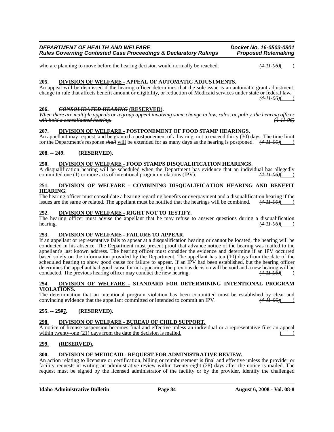who are planning to move before the hearing decision would normally be reached.  $(4-H-96)$ 

# **205. DIVISION OF WELFARE - APPEAL OF AUTOMATIC ADJUSTMENTS.**

An appeal will be dismissed if the hearing officer determines that the sole issue is an automatic grant adjustment, change in rule that affects benefit amount or eligibility, or reduction of Medicaid services under state or federal law. *(4-11-06)*( )

**206.** *CONSOLIDATED HEARING* **(RESERVED).** *When there are multiple appeals or a group appeal involving same change in law, rules, or policy, the hearing officer will hold a consolidated hearing. (4-11-06)*

### **207. DIVISION OF WELFARE - POSTPONEMENT OF FOOD STAMP HEARINGS.**

An appellant may request, and be granted a postponement of a hearing, not to exceed thirty (30) days. The time limit for the Department's response *shall* will be extended for as many days as the hearing is postponed. *(4-11-06)*( )

### **208. -- 249. (RESERVED).**

### **250. DIVISION OF WELFARE - FOOD STAMPS DISQUALIFICATION HEARINGS.**

A disqualification hearing will be scheduled when the Department has evidence that an individual has allegedly committed one (1) or more acts of intentional program violations (IPV).  $(4-11-06)($ committed one (1) or more acts of intentional program violations (IPV).

## **251. DIVISION OF WELFARE - COMBINING DISQUALIFICATION HEARING AND BENEFIT HEARING.**

The hearing officer must consolidate a hearing regarding benefits or overpayment and a disqualification hearing if the issues are the same or related. The appellant must be notified that the hearings will be combined.  $(4$ issues are the same or related. The appellant must be notified that the hearings will be combined.

## **252. DIVISION OF WELFARE - RIGHT NOT TO TESTIFY.**

The hearing officer must advise the appellant that he may refuse to answer questions during a disqualification hearing.  $\left(4-H-06\right)$ hearing. **(4-11-06)**( )

# **253. DIVISION OF WELFARE - FAILURE TO APPEAR.**

If an appellant or representative fails to appear at a disqualification hearing or cannot be located, the hearing will be conducted in his absence. The Department must present proof that advance notice of the hearing was mailed to the appellant's last known address. The hearing officer must consider the evidence and determine if an IPV occurred based solely on the information provided by the Department. The appellant has ten (10) days from the date of the scheduled hearing to show good cause for failure to appear. If an IPV had been established, but the hearing officer determines the appellant had good cause for not appearing, the previous decision will be void and a new hearing will be conducted. The previous hearing officer may conduct the new hearing.  $(4-H-06)$ 

### **254. DIVISION OF WELFARE - STANDARD FOR DETERMINING INTENTIONAL PROGRAM VIOLATIONS.**

The determination that an intentional program violation has been committed must be established by clear and convincing evidence that the appellant committed or intended to commit an IPV.  $(4H-96)($ convincing evidence that the appellant committed or intended to commit an IPV.

# **255. -- 29***9***7. (RESERVED).**

#### **298. DIVISION OF WELFARE - BUREAU OF CHILD SUPPORT.**

A notice of license suspension becomes final and effective unless an individual or a representative files an appeal within twenty-one  $(21)$  days from the date the decision is mailed.

# **299. (RESERVED).**

#### **300. DIVISION OF MEDICAID - REQUEST FOR ADMINISTRATIVE REVIEW.**

An action relating to licensure or certification, billing or reimbursement is final and effective unless the provider or facility requests in writing an administrative review within twenty-eight (28) days after the notice is mailed. The request must be signed by the licensed administrator of the facility or by the provider, identify the challenged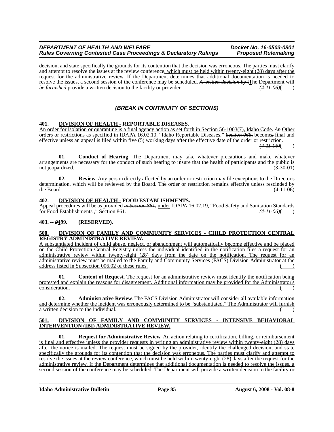#### *DEPARTMENT OF HEALTH AND WELFARE Docket No. 16-0503-0801 Rules Governing Contested Case Proceedings & Declaratory Rulings*

decision, and state specifically the grounds for its contention that the decision was erroneous. The parties must clarify and attempt to resolve the issues at the review conference, which must be held within twenty-eight (28) days after the request for the administrative review. If the Department determines that additional documentation is needed to resolve the issues, a second session of the conference may be scheduled. *A written decision by t*The Department will be furnished provide a written decision to the facility or provider. (4.11.06) *be furnished* provide a written decision to the facility or provider.  $\left(4.11-06\right)$ (*A*)

# *(BREAK IN CONTINUITY OF SECTIONS)*

# **401. DIVISION OF HEALTH - REPORTABLE DISEASES.**

An order for isolation or quarantine is a final agency action as set forth in Section 56-1003(7), Idaho Code. *An* Other orders or restrictions as specified in IDAPA 16.02.10, "Idaho Reportable Diseases," *Section 065,* become*s* final and effective unless an appeal is filed within five (5) working days after the effective date of the order or restriction.

*(4-11-06)*( )

**01. Conduct of Hearing**. The Department may take whatever precautions and make whatever arrangements are necessary for the conduct of such hearing to insure that the health of participants and the public is not ieopardized. (3-30-01) not jeopardized.

**02. Review**. Any person directly affected by an order or restriction may file exceptions to the Director's determination, which will be reviewed by the Board. The order or restriction remains effective unless rescinded by the Board.  $(4-11-06)$ 

### **402. DIVISION OF HEALTH - FOOD ESTABLISHMENTS.**

Appeal procedures will be as provided *in Section 861,* under IDAPA 16.02.19, "Food Safety and Sanitation Standards for Food Establishments*.*," Section 861. *(4-11-06)*( )

# **403. --** *9***499. (RESERVED).**

#### **500. DIVISION OF FAMILY AND COMMUNITY SERVICES - CHILD PROTECTION CENTRAL REGISTRY ADMINISTRATIVE REVIEW.**

A substantiated incident of child abuse, neglect, or abandonment will automatically become effective and be placed on the Child Protection Central Registry unless the individual identified in the notification files a request for an administrative review within twenty-eight (28) days from the date on the notification. The request for an administrative review must be mailed to the Family and Community Services (FACS) Division Administrator at the address listed in Subsection  $006.02$  of these rules.

**01. Content of Request**. The request for an administrative review must identify the notification being protested and explain the reasons for disagreement. Additional information may be provided for the Administrator's consideration.

**02. Administrative Review**. The FACS Division Administrator will consider all available information and determine whether the incident was erroneously determined to be "substantiated." The Administrator will furnish a written decision to the individual.

### **501. DIVISION OF FAMILY AND COMMUNITY SERVICES - INTENSIVE BEHAVIORAL INTERVENTION (IBI) ADMINISTRATIVE REVIEW.**

**01. Request for Administrative Review**. An action relating to certification, billing, or reimbursement is final and effective unless the provider requests in writing an administrative review within twenty-eight (28) days after the notice is mailed. The request must be signed by the provider, identify the challenged decision, and state specifically the grounds for its contention that the decision was erroneous. The parties must clarify and attempt to resolve the issues at the review conference, which must be held within twenty-eight (28) days after the request for the administrative review. If the Department determines that additional documentation is needed to resolve the issues, a second session of the conference may be scheduled. The Department will provide a written decision to the facility or

**Idaho Administrative Bulletin Page 85 August 6, 2008 - Vol. 08-8**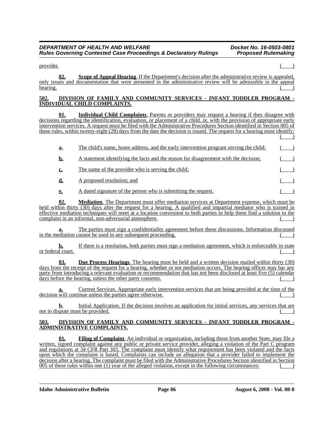$\Box$  provider.

**02. Scope of Appeal Hearing**. If the Department's decision after the administrative review is appealed, only issues and documentation that were presented in the administrative review will be admissible in the appeal  $hearing.$  ( $\overline{ }$ )

#### **502. DIVISION OF FAMILY AND COMMUNITY SERVICES - INFANT TODDLER PROGRAM - INDIVIDUAL CHILD COMPLAINTS.**

**01. Individual Child Complaints**. Parents or providers may request a hearing if they disagree with decisions regarding the identification, evaluation, or placement of a child, or, with the provision of appropriate early intervention services. A request must be filed with the Administrative Procedures Section identified in Section 005 of these rules, within twenty-eight (28) days from the date the decision is issued. The request for a hearing must identify:  $($   $)$ 

| <u>a.</u> | The child's name, home address, and the early intervention program serving the child; |  |
|-----------|---------------------------------------------------------------------------------------|--|
| <u>b.</u> | A statement identifying the facts and the reason for disagreement with the decision;  |  |
| c.        | The name of the provider who is serving the child;                                    |  |
| d.        | A proposed resolution; and                                                            |  |
| е.        | A dated signature of the person who is submitting the request.                        |  |
|           |                                                                                       |  |

**02. Mediation**. The Department must offer mediation services at Department expense, which must be held within thirty (30) days after the request for a hearing. A qualified and impartial mediator who is trained in effective mediation techniques will meet at a location convenient to both parties to help them find a solution to the complaint in an informal, non-adversarial atmosphere.

**a.** The parties must sign a confidentiality agreement before these discussions. Information discussed in the mediation cannot be used in any subsequent proceeding.

**b.** If there is a resolution, both parties must sign a mediation agreement, which is enforceable in state or federal court.

**03. Due Process Hearings**. The hearing must be held and a written decision mailed within thirty (30) days from the receipt of the request for a hearing, whether or not mediation occurs. The hearing officer may bar any party from introducing a relevant evaluation or recommendation that has not been disclosed at least five (5) calendar days before the hearing, unless the other party consents.

**a.** Current Services. Appropriate early intervention services that are being provided at the time of the decision will continue unless the parties agree otherwise.

**b.** Initial Application. If the decision involves an application for initial services, any services that are not in dispute must be provided.

### **503. DIVISION OF FAMILY AND COMMUNITY SERVICES - INFANT TODDLER PROGRAM - ADMINISTRATIVE COMPLAINTS.**

**01. Filing of Complaint**. An individual or organization, including those from another State, may file a written, signed complaint against any public or private service provider, alleging a violation of the Part C program and regulations at 34 CFR Part 303. The complaint must identify what requirement has been violated and the facts upon which the complaint is based. Complaints can include an allegation that a provider failed to implement the decision after a hearing. The complaint must be filed with the Administrative Procedures Section identified in Section  $005$  of these rules within one  $(1)$  year of the alleged violation, except in the following circumstances:

**Idaho Administrative Bulletin Page 86 August 6, 2008 - Vol. 08-8**